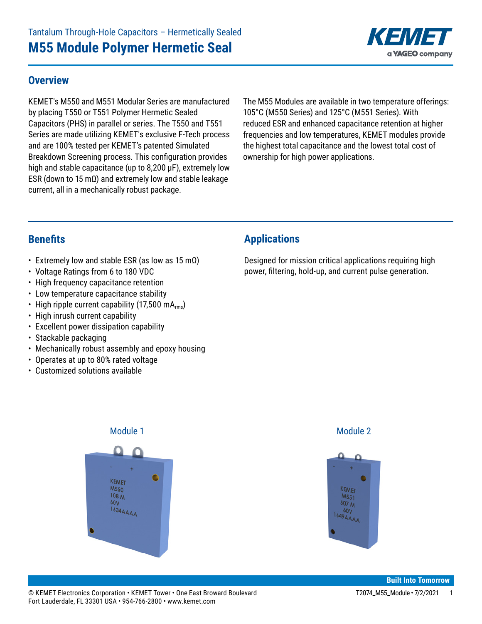

#### **Overview**

KEMET's M550 and M551 Modular Series are manufactured by placing T550 or T551 Polymer Hermetic Sealed Capacitors (PHS) in parallel or series. The T550 and T551 Series are made utilizing KEMET's exclusive F-Tech process and are 100% tested per KEMET's patented Simulated Breakdown Screening process. This configuration provides high and stable capacitance (up to 8,200  $\mu$ F), extremely low ESR (down to 15 mΩ) and extremely low and stable leakage current, all in a mechanically robust package.

The M55 Modules are available in two temperature offerings: 105°C (M550 Series) and 125°C (M551 Series). With reduced ESR and enhanced capacitance retention at higher frequencies and low temperatures, KEMET modules provide the highest total capacitance and the lowest total cost of ownership for high power applications.

#### **Benefits**

- Extremely low and stable ESR (as low as 15 m $\Omega$ )
- Voltage Ratings from 6 to 180 VDC
- High frequency capacitance retention
- Low temperature capacitance stability
- High ripple current capability (17,500 mA $_{rms}$ )
- High inrush current capability
- Excellent power dissipation capability
- Stackable packaging
- Mechanically robust assembly and epoxy housing
- Operates at up to 80% rated voltage
- Customized solutions available

## **Applications**

Designed for mission critical applications requiring high power, filtering, hold-up, and current pulse generation.



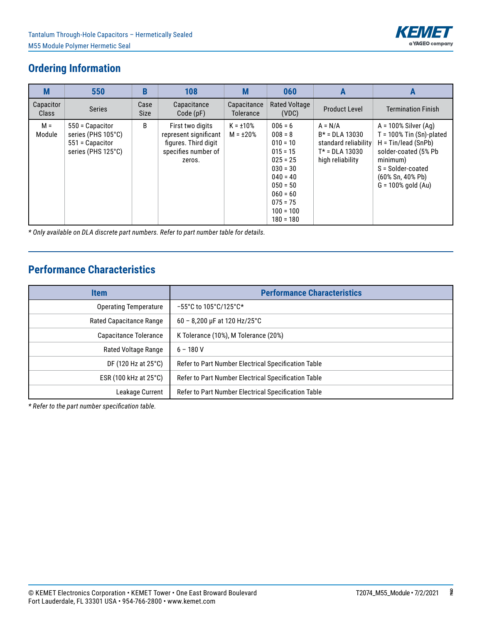

# **Ordering Information**

| M                  | 550                                                                            | B                   | 108                                                                                                | M                                | 060                                                                                                                                                                  | A                                                                                             | A                                                                                                                                                                                       |
|--------------------|--------------------------------------------------------------------------------|---------------------|----------------------------------------------------------------------------------------------------|----------------------------------|----------------------------------------------------------------------------------------------------------------------------------------------------------------------|-----------------------------------------------------------------------------------------------|-----------------------------------------------------------------------------------------------------------------------------------------------------------------------------------------|
| Capacitor<br>Class | <b>Series</b>                                                                  | Case<br><b>Size</b> | Capacitance<br>Code(pF)                                                                            | Capacitance<br><b>Tolerance</b>  | <b>Rated Voltage</b><br>(VDC)                                                                                                                                        | <b>Product Level</b>                                                                          | <b>Termination Finish</b>                                                                                                                                                               |
| $M =$<br>Module    | 550 = Capacitor<br>series (PHS 105°C)<br>551 = Capacitor<br>series (PHS 125°C) | B                   | First two digits<br>represent significant<br>figures. Third digit<br>specifies number of<br>zeros. | $K = \pm 10\%$<br>$M = \pm 20\%$ | $006 = 6$<br>$008 = 8$<br>$010 = 10$<br>$015 = 15$<br>$025 = 25$<br>$030 = 30$<br>$040 = 40$<br>$050 = 50$<br>$060 = 60$<br>$075 = 75$<br>$100 = 100$<br>$180 = 180$ | $A = N/A$<br>$B* = DLA 13030$<br>standard reliability<br>$T* = DLA 13030$<br>high reliability | $A = 100\%$ Silver (Ag)<br>$T = 100\%$ Tin (Sn)-plated<br>$H = Tin/lead (SnPb)$<br>solder-coated (5% Pb<br>minimum)<br>S = Solder-coated<br>(60% Sn, 40% Pb)<br>$G = 100\%$ gold $(Au)$ |

*\* Only available on DLA discrete part numbers. Refer to part number table for details.*

# **Performance Characteristics**

| <b>Item</b>                     | <b>Performance Characteristics</b>                    |
|---------------------------------|-------------------------------------------------------|
| <b>Operating Temperature</b>    | $-55^{\circ}$ C to 105 $^{\circ}$ C/125 $^{\circ}$ C* |
| <b>Rated Capacitance Range</b>  | $60 - 8,200 \,\mu F$ at 120 Hz/25°C                   |
| Capacitance Tolerance           | K Tolerance (10%), M Tolerance (20%)                  |
| Rated Voltage Range             | $6 - 180V$                                            |
| DF (120 Hz at 25°C)             | Refer to Part Number Electrical Specification Table   |
| ESR (100 kHz at $25^{\circ}$ C) | Refer to Part Number Electrical Specification Table   |
| Leakage Current                 | Refer to Part Number Electrical Specification Table   |

*\* Refer to the part number specification table.*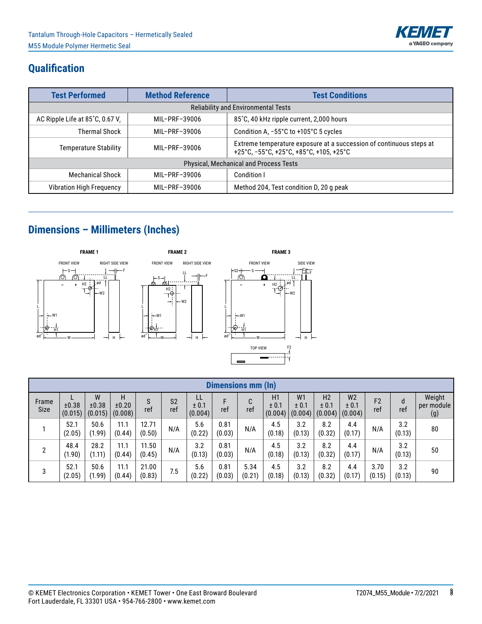

# **Qualification**

| <b>Test Performed</b>                                                                        | <b>Method Reference</b> | <b>Test Conditions</b>                                                                                         |  |  |  |  |  |
|----------------------------------------------------------------------------------------------|-------------------------|----------------------------------------------------------------------------------------------------------------|--|--|--|--|--|
| <b>Reliability and Environmental Tests</b>                                                   |                         |                                                                                                                |  |  |  |  |  |
| 85°C, 40 kHz ripple current, 2,000 hours<br>AC Ripple Life at 85°C, 0.67 V.<br>MIL-PRF-39006 |                         |                                                                                                                |  |  |  |  |  |
| <b>Thermal Shock</b>                                                                         | MIL-PRF-39006           | Condition A, -55°C to +105°C 5 cycles                                                                          |  |  |  |  |  |
| <b>Temperature Stability</b><br>MIL-PRF-39006                                                |                         | Extreme temperature exposure at a succession of continuous steps at<br>+25°C, -55°C, +25°C, +85°C, +105, +25°C |  |  |  |  |  |
|                                                                                              |                         | Physical, Mechanical and Process Tests                                                                         |  |  |  |  |  |
| <b>Mechanical Shock</b>                                                                      | MIL-PRF-39006           | Condition I                                                                                                    |  |  |  |  |  |
| <b>Vibration High Frequency</b>                                                              | MIL-PRF-39006           | Method 204, Test condition D, 20 g peak                                                                        |  |  |  |  |  |

# **Dimensions – Millimeters (Inches)**



|                | Dimensions mm (In) |                       |                       |                 |                       |                        |                |                |                        |                                    |                                    |                                    |                       |               |                             |
|----------------|--------------------|-----------------------|-----------------------|-----------------|-----------------------|------------------------|----------------|----------------|------------------------|------------------------------------|------------------------------------|------------------------------------|-----------------------|---------------|-----------------------------|
| Frame<br>Size  | ±0.38<br>(0.015)   | W<br>±0.38<br>(0.015) | Н<br>±0.20<br>(0.008) | ref             | S <sub>2</sub><br>ref | LL<br>± 0.1<br>(0.004) | F<br>ref       | r<br>U<br>ref  | H1<br>± 0.1<br>(0.004) | W <sub>1</sub><br>± 0.1<br>(0.004) | H <sub>2</sub><br>± 0.1<br>(0.004) | W <sub>2</sub><br>± 0.1<br>(0.004) | F <sub>2</sub><br>ref | d<br>ref      | Weight<br>per module<br>(g) |
|                | 52.1<br>(2.05)     | 50.6<br>(1.99)        | 11.1<br>(0.44)        | 12.71<br>(0.50) | N/A                   | 5.6<br>(0.22)          | 0.81<br>(0.03) | N/A            | 4.5<br>(0.18)          | 3.2<br>(0.13)                      | 8.2<br>(0.32)                      | 4.4<br>(0.17)                      | N/A                   | 3.2<br>(0.13) | 80                          |
| $\overline{2}$ | 48.4<br>(1.90)     | 28.2<br>(1.11)        | 11.1<br>(0.44)        | 11.50<br>(0.45) | N/A                   | 3.2<br>(0.13)          | 0.81<br>(0.03) | N/A            | 4.5<br>(0.18)          | 3.2<br>(0.13)                      | 8.2<br>(0.32)                      | 4.4<br>(0.17)                      | N/A                   | 3.2<br>(0.13) | 50                          |
| 3              | 52.1<br>(2.05)     | 50.6<br>(1.99)        | 11.1<br>(0.44)        | 21.00<br>(0.83) | 7.5                   | 5.6<br>(0.22)          | 0.81<br>(0.03) | 5.34<br>(0.21) | 4.5<br>(0.18)          | 3.2<br>(0.13)                      | 8.2<br>(0.32)                      | 4.4<br>(0.17)                      | 3.70<br>(0.15)        | 3.2<br>(0.13) | 90                          |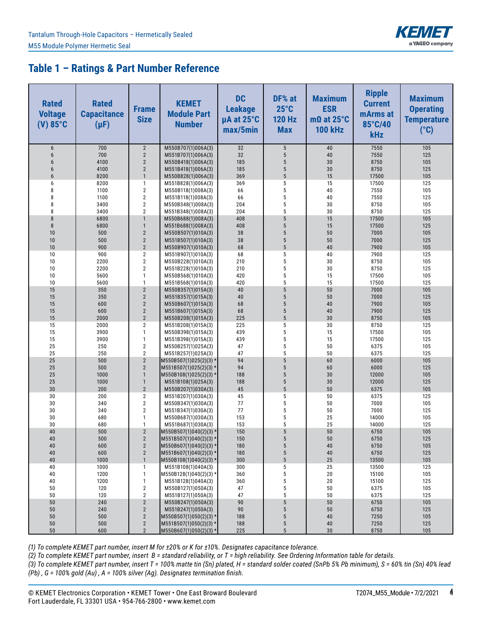

### **Table 1 – Ratings & Part Number Reference**

| <b>Rated</b><br><b>Voltage</b><br>$(V)$ 85°C | <b>Rated</b><br><b>Capacitance</b><br>$(\mu F)$ | <b>Frame</b><br><b>Size</b>      | <b>KEMET</b><br><b>Module Part</b><br><b>Number</b> | <b>DC</b><br><b>Leakage</b><br>µA at 25°C<br>max/5min | DF% at<br>$25^{\circ}$ C<br><b>120 Hz</b><br><b>Max</b> | <b>Maximum</b><br><b>ESR</b><br>$m\Omega$ at 25°C<br><b>100 kHz</b> | <b>Ripple</b><br><b>Current</b><br>mArms at<br>85°C/40<br><b>kHz</b> | <b>Maximum</b><br><b>Operating</b><br><b>Temperature</b><br>$(^{\circ}C)$ |
|----------------------------------------------|-------------------------------------------------|----------------------------------|-----------------------------------------------------|-------------------------------------------------------|---------------------------------------------------------|---------------------------------------------------------------------|----------------------------------------------------------------------|---------------------------------------------------------------------------|
| 6                                            | 700                                             | $\overline{2}$                   | M550B707(1)006A(3)                                  | 32                                                    | $\sqrt{5}$                                              | 40                                                                  | 7550                                                                 | 105                                                                       |
| 6                                            | 700                                             | $\overline{2}$                   | M551B707(1)006A(3)                                  | 32                                                    | $\sqrt{5}$                                              | 40                                                                  | 7550                                                                 | 125                                                                       |
| 6                                            | 4100                                            | $\overline{2}$                   | M550B418(1)006A(3)                                  | 185                                                   | 5                                                       | 30                                                                  | 8750                                                                 | 105                                                                       |
| $6\phantom{1}$<br>6                          | 4100<br>8200                                    | $\overline{2}$<br>$\mathbf{1}$   | M551B418(1)006A(3)                                  | 185<br>369                                            | $\sqrt{5}$<br>$5\phantom{.0}$                           | 30<br>15                                                            | 8750<br>17500                                                        | 125<br>105                                                                |
| 6                                            | 8200                                            | $\mathbf{1}$                     | M550B828(1)006A(3)<br>M551B828(1)006A(3)            | 369                                                   | 5                                                       | 15                                                                  | 17500                                                                | 125                                                                       |
| 8                                            | 1100                                            | $\sqrt{2}$                       | M550B118(1)008A(3)                                  | 66                                                    | 5                                                       | 40                                                                  | 7550                                                                 | 105                                                                       |
| 8                                            | 1100                                            | $\overline{2}$                   | M551B118(1)008A(3)                                  | 66                                                    | $\sqrt{5}$                                              | 40                                                                  | 7550                                                                 | 125                                                                       |
| 8                                            | 3400                                            | $\overline{2}$                   | M550B348(1)008A(3)                                  | 204                                                   | 5                                                       | 30                                                                  | 8750                                                                 | 105                                                                       |
| 8                                            | 3400                                            | $\overline{2}$                   | M551B348(1)008A(3)                                  | 204                                                   | 5                                                       | 30                                                                  | 8750                                                                 | 125                                                                       |
| 8                                            | 6800                                            | $\mathbf{1}$                     | M550B688(1)008A(3)                                  | 408                                                   | 5                                                       | 15                                                                  | 17500                                                                | 105                                                                       |
| $\bf 8$                                      | 6800                                            | $\mathbf{1}$                     | M551B688(1)008A(3)                                  | 408                                                   | 5<br>5                                                  | 15                                                                  | 17500                                                                | 125                                                                       |
| 10<br>10                                     | 500<br>500                                      | $\overline{2}$<br>$\sqrt{2}$     | M550B507(1)010A(3)<br>M551B507(1)010A(3)            | 38<br>38                                              | $\sqrt{5}$                                              | 50<br>50                                                            | 7000<br>7000                                                         | 105<br>125                                                                |
| 10                                           | 900                                             | $\overline{2}$                   | M550B907(1)010A(3)                                  | 68                                                    | $5\phantom{.0}$                                         | 40                                                                  | 7900                                                                 | 105                                                                       |
| 10                                           | 900                                             | $\sqrt{2}$                       | M551B907(1)010A(3)                                  | 68                                                    | 5                                                       | 40                                                                  | 7900                                                                 | 125                                                                       |
| 10                                           | 2200                                            | $\mathbf 2$                      | M550B228(1)010A(3)                                  | 210                                                   | 5                                                       | 30                                                                  | 8750                                                                 | 105                                                                       |
| 10                                           | 2200                                            | $\mathbf 2$                      | M551B228(1)010A(3)                                  | 210                                                   | $\sqrt{5}$                                              | 30                                                                  | 8750                                                                 | 125                                                                       |
| 10                                           | 5600                                            | $\mathbf{1}$                     | M550B568(1)010A(3)                                  | 420                                                   | 5                                                       | 15                                                                  | 17500                                                                | 105                                                                       |
| 10                                           | 5600                                            | $\mathbf{1}$                     | M551B568(1)010A(3)                                  | 420                                                   | 5                                                       | 15                                                                  | 17500                                                                | 125                                                                       |
| 15<br>15                                     | 350<br>350                                      | $\overline{2}$<br>$\sqrt{2}$     | M550B357(1)015A(3)                                  | 40<br>40                                              | $5\phantom{.0}$<br>$5\phantom{.0}$                      | 50<br>50                                                            | 7000<br>7000                                                         | 105<br>125                                                                |
| 15                                           | 600                                             | $\overline{2}$                   | M551B357(1)015A(3)<br>M550B607(1)015A(3)            | 68                                                    | $5\phantom{.0}$                                         | 40                                                                  | 7900                                                                 | 105                                                                       |
| 15                                           | 600                                             | $\overline{2}$                   | M551B607(1)015A(3)                                  | 68                                                    | $5\phantom{.0}$                                         | 40                                                                  | 7900                                                                 | 125                                                                       |
| 15                                           | 2000                                            | $\overline{2}$                   | M550B208(1)015A(3)                                  | 225                                                   | $5\phantom{.0}$                                         | 30                                                                  | 8750                                                                 | 105                                                                       |
| 15                                           | 2000                                            | $\overline{2}$                   | M551B208(1)015A(3)                                  | 225                                                   | 5                                                       | 30                                                                  | 8750                                                                 | 125                                                                       |
| 15                                           | 3900                                            | $\mathbf{1}$                     | M550B398(1)015A(3)                                  | 439                                                   | 5                                                       | 15                                                                  | 17500                                                                | 105                                                                       |
| 15                                           | 3900                                            | $\mathbf{1}$                     | M551B398(1)015A(3)                                  | 439                                                   | 5                                                       | 15                                                                  | 17500                                                                | 125                                                                       |
| 25                                           | 250                                             | $\mathbf{2}$                     | M550B257(1)025A(3)                                  | 47                                                    | 5                                                       | 50                                                                  | 6375                                                                 | 105                                                                       |
| 25<br>25                                     | 250<br>500                                      | $\overline{2}$<br>$\overline{2}$ | M551B257(1)025A(3)                                  | 47<br>94                                              | 5<br>5                                                  | 50<br>60                                                            | 6375<br>6000                                                         | 125<br>105                                                                |
| 25                                           | 500                                             | $\sqrt{2}$                       | M550B507(1)025(2)(3) *<br>$M551B507(1)025(2)(3)$ *  | 94                                                    | $5\phantom{.0}$                                         | 60                                                                  | 6000                                                                 | 125                                                                       |
| 25                                           | 1000                                            | $\mathbf{1}$                     | $M550B108(1)025(2)(3)$ *                            | 188                                                   | $5\phantom{.0}$                                         | 30                                                                  | 12000                                                                | 105                                                                       |
| 25                                           | 1000                                            | $\mathbf{1}$                     | M551B108(1)025A(3)                                  | 188                                                   | $5\phantom{.0}$                                         | 30                                                                  | 12000                                                                | 125                                                                       |
| 30                                           | 200                                             | $\overline{2}$                   | M550B207(1)030A(3)                                  | 45                                                    | $5\phantom{.0}$                                         | 50                                                                  | 6375                                                                 | 105                                                                       |
| 30                                           | 200                                             | $\sqrt{2}$                       | M551B207(1)030A(3)                                  | 45                                                    | 5                                                       | 50                                                                  | 6375                                                                 | 125                                                                       |
| 30                                           | 340                                             | $\mathbf{2}$                     | M550B347(1)030A(3)                                  | 77                                                    | 5                                                       | 50                                                                  | 7000                                                                 | 105                                                                       |
| 30                                           | 340                                             | $\overline{2}$<br>$\mathbf{1}$   | M551B347(1)030A(3)                                  | 77<br>153                                             | $\sqrt{5}$<br>5                                         | 50                                                                  | 7000                                                                 | 125                                                                       |
| 30<br>30                                     | 680<br>680                                      | $\mathbf{1}$                     | M550B687(1)030A(3)<br>M551B687(1)030A(3)            | 153                                                   | 5                                                       | 25<br>25                                                            | 14000<br>14000                                                       | 105<br>125                                                                |
| 40                                           | 500                                             | $\overline{2}$                   | $M550B507(1)040(2)(3)$ *                            | 150                                                   | 5                                                       | 50                                                                  | 6750                                                                 | 105                                                                       |
| 40                                           | 500                                             | $\mathbf{2}$                     | $M551B507(1)040(2)(3)$ *                            | 150                                                   | 5                                                       | 50                                                                  | 6750                                                                 | 125                                                                       |
| 40                                           | 600                                             | $\overline{2}$                   | M550B607(1)040(2)(3) *                              | 180                                                   | $\overline{5}$                                          | 40                                                                  | 6750                                                                 | 105                                                                       |
| 40                                           | 600                                             | $\overline{2}$                   | $M551B607(1)040(2)(3)$ *                            | 180                                                   | $\sqrt{5}$                                              | 40                                                                  | 6750                                                                 | 125                                                                       |
| 40                                           | 1000                                            | $\mathbf{1}$                     | M550B108(1)040(2)(3) *                              | 300                                                   | $\sqrt{5}$                                              | 25                                                                  | 13500                                                                | 105                                                                       |
| 40                                           | 1000                                            | $\mathbf{1}$                     | M551B108(1)040A(3)                                  | 300                                                   | $\sqrt{5}$                                              | 25                                                                  | 13500                                                                | 125                                                                       |
| 40<br>40                                     | 1200<br>1200                                    | $\mathbf{1}$<br>$\mathbf{1}$     | M550B128(1)040(2)(3) *<br>M551B128(1)040A(3)        | 360<br>360                                            | $\sqrt{5}$<br>$\sqrt{5}$                                | 20<br>20                                                            | 15100<br>15100                                                       | 105<br>125                                                                |
| 50                                           | 120                                             | $\mathbf{2}$                     | M550B127(1)050A(3)                                  | 47                                                    | $\sqrt{5}$                                              | 50                                                                  | 6375                                                                 | 105                                                                       |
| 50                                           | 120                                             | $\overline{2}$                   | M551B127(1)050A(3)                                  | 47                                                    | $\sqrt{5}$                                              | 50                                                                  | 6375                                                                 | 125                                                                       |
| 50                                           | 240                                             | $\mathbf{2}$                     | M550B247(1)050A(3)                                  | 90                                                    | 5                                                       | 50                                                                  | 6750                                                                 | 105                                                                       |
| 50                                           | 240                                             | $\mathbf{2}$                     | M551B247(1)050A(3)                                  | 90                                                    | 5                                                       | 50                                                                  | 6750                                                                 | 125                                                                       |
| 50                                           | 500                                             | $\mathbf{2}$                     | M550B507(1)050(2)(3) *                              | 188                                                   | $\sqrt{5}$                                              | 40                                                                  | 7250                                                                 | 105                                                                       |
| $50\,$<br>50                                 | 500<br>600                                      | $\mathbf{2}$<br>$\overline{2}$   | M551B507(1)050(2)(3) *                              | 188<br>225                                            | $\sqrt{5}$<br>$\sqrt{5}$                                | 40<br>30                                                            | 7250<br>8750                                                         | 125<br>105                                                                |
|                                              |                                                 |                                  | M550B607(1)050(2)(3) *                              |                                                       |                                                         |                                                                     |                                                                      |                                                                           |

*(1) To complete KEMET part number, insert M for ±20% or K for ±10%. Designates capacitance tolerance.* 

*(2) To complete KEMET part number, insert B = standard reliability, or T = high reliability. See Ordering Information table for details.*

*(3) To complete KEMET part number, insert T = 100% matte tin (Sn) plated, H = standard solder coated (SnPb 5% Pb minimum), S = 60% tin (Sn) 40% lead (Pb) , G = 100% gold (Au) , A = 100% silver (Ag). Designates termination finish.*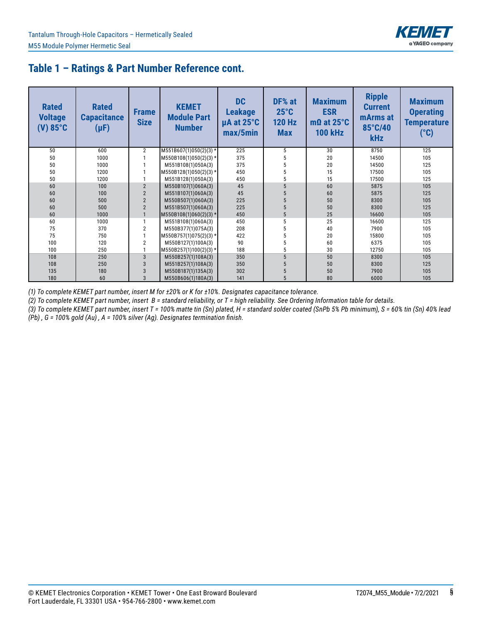

## **Table 1 – Ratings & Part Number Reference cont.**

| <b>Rated</b><br><b>Voltage</b><br>$(V) 85$ °C | <b>Rated</b><br><b>Capacitance</b><br>$(\mu F)$ | <b>Frame</b><br><b>Size</b> | <b>KEMET</b><br><b>Module Part</b><br><b>Number</b> | <b>DC</b><br><b>Leakage</b><br>µA at 25°C<br>max/5min | DF% at<br>$25^{\circ}$ C<br><b>120 Hz</b><br><b>Max</b> | <b>Maximum</b><br><b>ESR</b><br>$m\Omega$ at 25°C<br><b>100 kHz</b> | <b>Ripple</b><br><b>Current</b><br>mArms at<br>85°C/40<br><b>kHz</b> | <b>Maximum</b><br><b>Operating</b><br><b>Temperature</b><br>$(^\circ \text{C})$ |
|-----------------------------------------------|-------------------------------------------------|-----------------------------|-----------------------------------------------------|-------------------------------------------------------|---------------------------------------------------------|---------------------------------------------------------------------|----------------------------------------------------------------------|---------------------------------------------------------------------------------|
| 50                                            | 600                                             | $\overline{2}$              | M551B607(1)050(2)(3) *                              | 225                                                   | 5                                                       | 30                                                                  | 8750                                                                 | 125                                                                             |
| 50                                            | 1000                                            |                             | M550B108(1)050(2)(3) *                              | 375                                                   |                                                         | 20                                                                  | 14500                                                                | 105                                                                             |
| 50                                            | 1000                                            |                             | M551B108(1)050A(3)                                  | 375                                                   |                                                         | 20                                                                  | 14500                                                                | 125                                                                             |
| 50                                            | 1200                                            |                             | $M550B128(1)050(2)(3)*$                             | 450                                                   |                                                         | 15                                                                  | 17500                                                                | 105                                                                             |
| 50                                            | 1200                                            |                             | M551B128(1)050A(3)                                  | 450                                                   |                                                         | 15                                                                  | 17500                                                                | 125                                                                             |
| 60                                            | 100                                             | $\overline{2}$              | M550B107(1)060A(3)                                  | 45                                                    | 5                                                       | 60                                                                  | 5875                                                                 | 105                                                                             |
| 60                                            | 100                                             | $\overline{2}$              | M551B107(1)060A(3)                                  | 45                                                    |                                                         | 60                                                                  | 5875                                                                 | 125                                                                             |
| 60                                            | 500                                             | $\overline{2}$              | M550B507(1)060A(3)                                  | 225                                                   |                                                         | 50                                                                  | 8300                                                                 | 105                                                                             |
| 60                                            | 500                                             | $\overline{2}$              | M551B507(1)060A(3)                                  | 225                                                   |                                                         | 50                                                                  | 8300                                                                 | 125                                                                             |
| 60                                            | 1000                                            |                             | $M550B108(1)060(2)(3)$ *                            | 450                                                   | 5                                                       | 25                                                                  | 16600                                                                | 105                                                                             |
| 60                                            | 1000                                            |                             | M551B108(1)060A(3)                                  | 450                                                   |                                                         | 25                                                                  | 16600                                                                | 125                                                                             |
| 75                                            | 370                                             | $\overline{2}$              | M550B377(1)075A(3)                                  | 208                                                   |                                                         | 40                                                                  | 7900                                                                 | 105                                                                             |
| 75                                            | 750                                             |                             | M550B757(1)075(2)(3) *                              | 422                                                   |                                                         | 20                                                                  | 15800                                                                | 105                                                                             |
| 100                                           | 120                                             | $\overline{2}$              | M550B127(1)100A(3)                                  | 90                                                    |                                                         | 60                                                                  | 6375                                                                 | 105                                                                             |
| 100                                           | 250                                             |                             | M550B257(1)100(2)(3) *                              | 188                                                   |                                                         | 30                                                                  | 12750                                                                | 105                                                                             |
| 108                                           | 250                                             | $\overline{3}$              | M550B257(1)108A(3)                                  | 350                                                   |                                                         | 50                                                                  | 8300                                                                 | 105                                                                             |
| 108                                           | 250                                             | 3                           | M551B257(1)108A(3)                                  | 350                                                   |                                                         | 50                                                                  | 8300                                                                 | 125                                                                             |
| 135                                           | 180                                             | 3                           | M550B187(1)135A(3)                                  | 302                                                   |                                                         | 50                                                                  | 7900                                                                 | 105                                                                             |
| 180                                           | 60                                              | 3                           | M550B606(1)180A(3)                                  | 141                                                   |                                                         | 80                                                                  | 6000                                                                 | 105                                                                             |

*(1) To complete KEMET part number, insert M for ±20% or K for ±10%. Designates capacitance tolerance.* 

*(2) To complete KEMET part number, insert B = standard reliability, or T = high reliability. See Ordering Information table for details.*

*(3) To complete KEMET part number, insert T = 100% matte tin (Sn) plated, H = standard solder coated (SnPb 5% Pb minimum), S = 60% tin (Sn) 40% lead (Pb) , G = 100% gold (Au) , A = 100% silver (Ag). Designates termination finish.*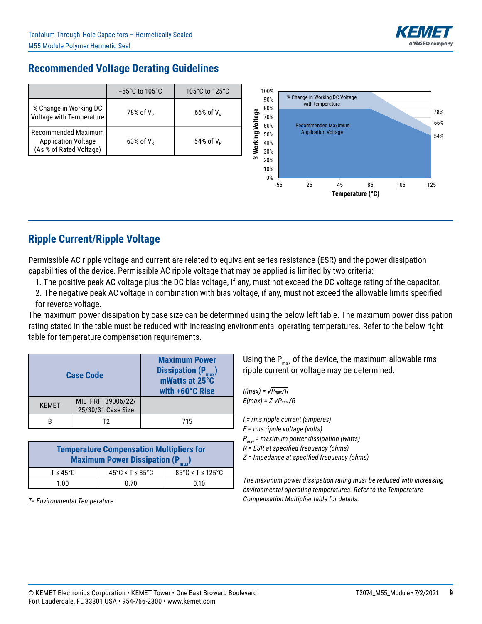

## **Recommended Voltage Derating Guidelines**

|                                                                              | $-55^{\circ}$ C to 105 $^{\circ}$ C | 105 $^{\circ}$ C to 125 $^{\circ}$ C | 100%                                |       | % Change in Working DC Voltage                 |                  |    |     |     |            |
|------------------------------------------------------------------------------|-------------------------------------|--------------------------------------|-------------------------------------|-------|------------------------------------------------|------------------|----|-----|-----|------------|
| % Change in Working DC<br>Voltage with Temperature                           | 78% of $V_R$                        | $66\%$ of $V_R$                      | 90%<br>80%<br>Voltage<br>70%<br>60% |       | with temperature<br><b>Recommended Maximum</b> |                  |    |     |     | 78%<br>66% |
| Recommended Maximum<br><b>Application Voltage</b><br>(As % of Rated Voltage) | $63\%$ of $V_{p}$                   | 54% of $V_R$                         |                                     |       | <b>Application Voltage</b>                     |                  |    |     |     | 54%        |
|                                                                              |                                     |                                      | ಽ<br>20%<br>10%<br>0%               |       |                                                |                  |    |     |     |            |
|                                                                              |                                     |                                      |                                     | $-55$ | 25                                             | 45               | 85 | 105 | 125 |            |
|                                                                              |                                     |                                      |                                     |       |                                                | Temperature (°C) |    |     |     |            |

## **Ripple Current/Ripple Voltage**

Permissible AC ripple voltage and current are related to equivalent series resistance (ESR) and the power dissipation capabilities of the device. Permissible AC ripple voltage that may be applied is limited by two criteria:

1. The positive peak AC voltage plus the DC bias voltage, if any, must not exceed the DC voltage rating of the capacitor.

 2. The negative peak AC voltage in combination with bias voltage, if any, must not exceed the allowable limits specified for reverse voltage.

The maximum power dissipation by case size can be determined using the below left table. The maximum power dissipation rating stated in the table must be reduced with increasing environmental operating temperatures. Refer to the below right table for temperature compensation requirements.

|              | <b>Case Code</b>                        | <b>Maximum Power</b><br>Dissipation $(P_{max})$<br>mWatts at 25°C<br>with +60°C Rise |  |  |  |
|--------------|-----------------------------------------|--------------------------------------------------------------------------------------|--|--|--|
| <b>KFMFT</b> | MIL-PRF-39006/22/<br>25/30/31 Case Size |                                                                                      |  |  |  |
|              | тэ                                      | 715                                                                                  |  |  |  |

| <b>Temperature Compensation Multipliers for</b><br><b>Maximum Power Dissipation (P<sub>max</sub>)</b> |                                        |                                         |  |  |  |
|-------------------------------------------------------------------------------------------------------|----------------------------------------|-----------------------------------------|--|--|--|
| $T < 45^{\circ}$ C                                                                                    | $45^{\circ}$ C < T $\leq 85^{\circ}$ C | $85^{\circ}$ C < T $\leq 125^{\circ}$ C |  |  |  |
| 1.00                                                                                                  | 0.70                                   | 0.10                                    |  |  |  |

*T= Environmental Temperature* 

Using the  $P_{max}$  of the device, the maximum allowable rms ripple current or voltage may be determined.

*I(max) = √Pmax/R E(max) = Z √Pmax/R*

*I = rms ripple current (amperes)*

*E = rms ripple voltage (volts)*

*Pmax = maximum power dissipation (watts)*

*R = ESR at specified frequency (ohms)*

*Z = Impedance at specified frequency (ohms)*

*The maximum power dissipation rating must be reduced with increasing environmental operating temperatures. Refer to the Temperature Compensation Multiplier table for details.*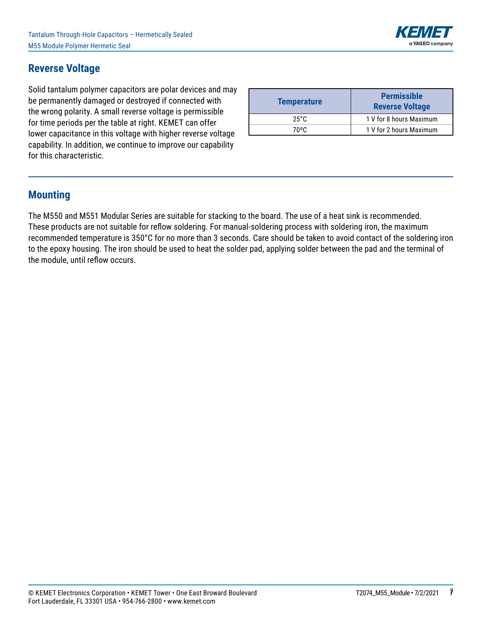### **Reverse Voltage**

Solid tantalum polymer capacitors are polar devices and may be permanently damaged or destroyed if connected with the wrong polarity. A small reverse voltage is permissible for time periods per the table at right. KEMET can offer lower capacitance in this voltage with higher reverse voltage capability. In addition, we continue to improve our capability for this characteristic.

| <b>Temperature</b> | <b>Permissible</b><br><b>Reverse Voltage</b> |
|--------------------|----------------------------------------------|
| 25°C               | 1 V for 8 hours Maximum                      |
| 70°C.              | 1 V for 2 hours Maximum                      |

#### **Mounting**

The M550 and M551 Modular Series are suitable for stacking to the board. The use of a heat sink is recommended. These products are not suitable for reflow soldering. For manual-soldering process with soldering iron, the maximum recommended temperature is 350°C for no more than 3 seconds. Care should be taken to avoid contact of the soldering iron to the epoxy housing. The iron should be used to heat the solder pad, applying solder between the pad and the terminal of the module, until reflow occurs.

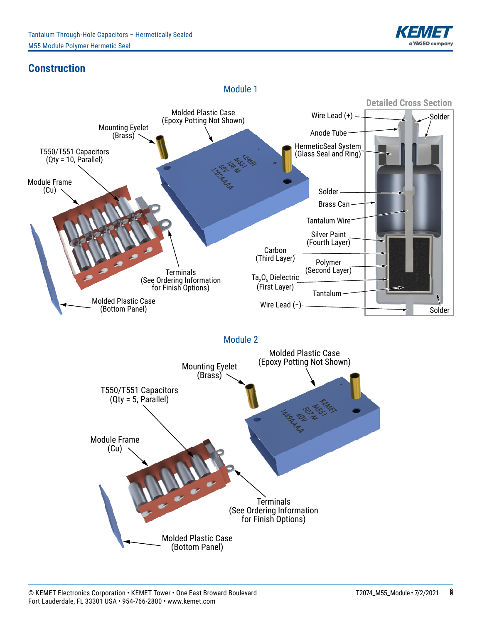

## **Construction**

Module 1

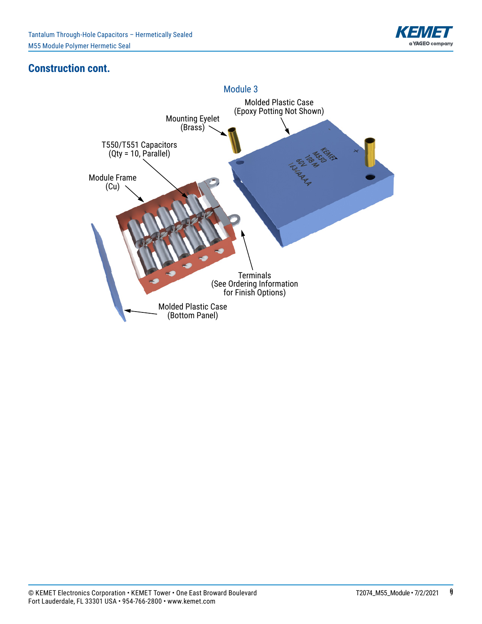

### **Construction cont.**

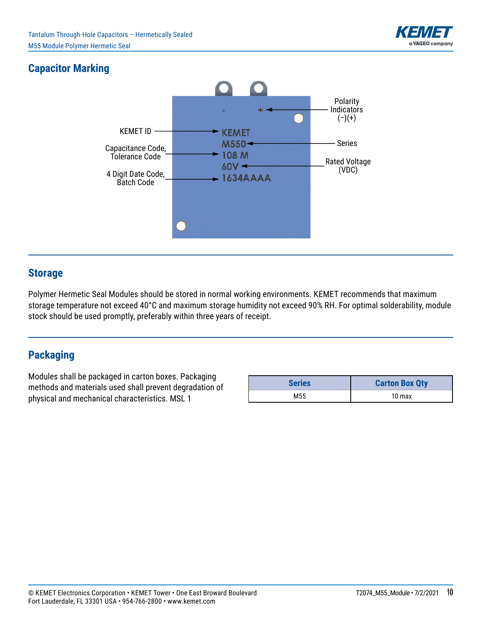

# **Capacitor Marking**



#### **Storage**

Polymer Hermetic Seal Modules should be stored in normal working environments. KEMET recommends that maximum storage temperature not exceed 40°C and maximum storage humidity not exceed 90% RH. For optimal solderability, module stock should be used promptly, preferably within three years of receipt.

#### **Packaging**

Modules shall be packaged in carton boxes. Packaging methods and materials used shall prevent degradation of physical and mechanical characteristics. MSL 1

| <b>Series</b> | <b>Carton Box Qty</b> |  |  |  |  |
|---------------|-----------------------|--|--|--|--|
| M55           | 10 <sub>max</sub>     |  |  |  |  |